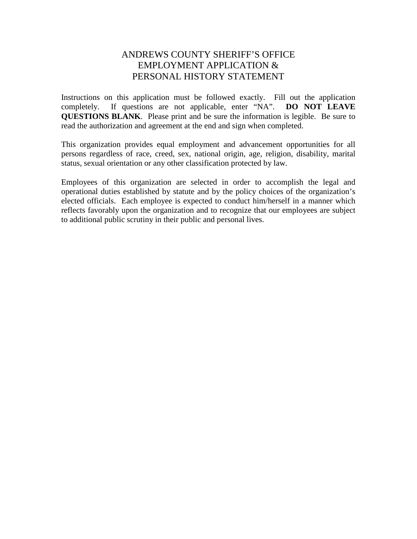## ANDREWS COUNTY SHERIFF'S OFFICE EMPLOYMENT APPLICATION & PERSONAL HISTORY STATEMENT

Instructions on this application must be followed exactly. Fill out the application completely. If questions are not applicable, enter "NA". **DO NOT LEAVE QUESTIONS BLANK**. Please print and be sure the information is legible. Be sure to read the authorization and agreement at the end and sign when completed.

This organization provides equal employment and advancement opportunities for all persons regardless of race, creed, sex, national origin, age, religion, disability, marital status, sexual orientation or any other classification protected by law.

Employees of this organization are selected in order to accomplish the legal and operational duties established by statute and by the policy choices of the organization's elected officials. Each employee is expected to conduct him/herself in a manner which reflects favorably upon the organization and to recognize that our employees are subject to additional public scrutiny in their public and personal lives.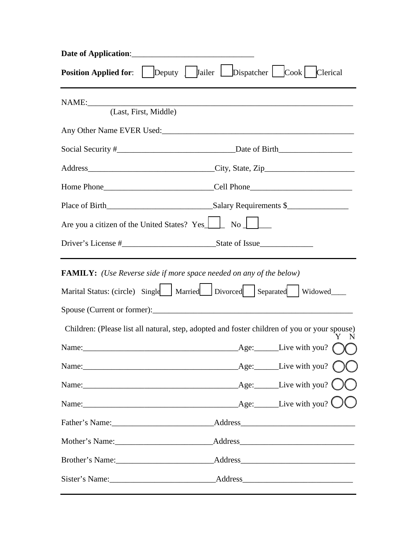| Date of Application:                                                       |                                                                                              |  |
|----------------------------------------------------------------------------|----------------------------------------------------------------------------------------------|--|
| <b>Position Applied for:</b>                                               | Deputy J Jailer Dispatcher Cook Clerical                                                     |  |
| NAME:<br>(Last, First, Middle)                                             |                                                                                              |  |
|                                                                            |                                                                                              |  |
|                                                                            |                                                                                              |  |
|                                                                            |                                                                                              |  |
|                                                                            |                                                                                              |  |
|                                                                            |                                                                                              |  |
| Are you a citizen of the United States? Yes                                | $\overline{N_0}$                                                                             |  |
|                                                                            |                                                                                              |  |
| <b>FAMILY:</b> (Use Reverse side if more space needed on any of the below) |                                                                                              |  |
|                                                                            | Marital Status: (circle) Single   Married   Divorced   Separated   Widowed                   |  |
|                                                                            |                                                                                              |  |
|                                                                            | Children: (Please list all natural, step, adopted and foster children of you or your spouse) |  |
|                                                                            | Name: <u>Name:</u> Containing the Containing Age: Live with you? (                           |  |
|                                                                            |                                                                                              |  |
|                                                                            |                                                                                              |  |
|                                                                            |                                                                                              |  |
|                                                                            |                                                                                              |  |
|                                                                            |                                                                                              |  |
|                                                                            |                                                                                              |  |
|                                                                            |                                                                                              |  |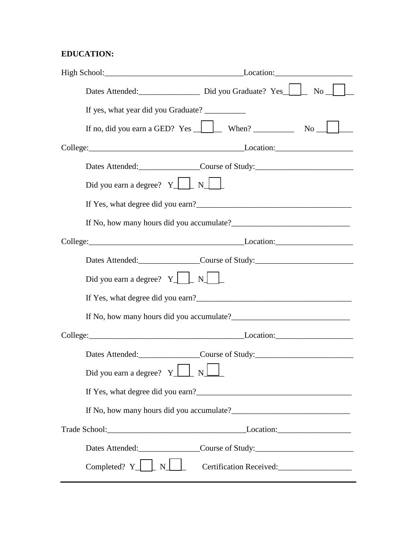## **EDUCATION:**

|                                                          | Dates Attended: Did you Graduate? Yes No No                                               |
|----------------------------------------------------------|-------------------------------------------------------------------------------------------|
| If yes, what year did you Graduate?                      |                                                                                           |
|                                                          | If no, did you earn a GED? Yes $\boxed{\phantom{a}}$ When? $\phantom{a}$ No $\phantom{a}$ |
|                                                          | College: Location: Location:                                                              |
|                                                          | Dates Attended:<br><u>Course</u> of Study:                                                |
| Did you earn a degree? $Y \perp N \perp$                 |                                                                                           |
|                                                          |                                                                                           |
|                                                          |                                                                                           |
|                                                          | College: Location: Location:                                                              |
|                                                          | Dates Attended: Course of Study:                                                          |
| Did you earn a degree? $Y \perp \square N \perp \square$ |                                                                                           |
|                                                          |                                                                                           |
|                                                          |                                                                                           |
|                                                          | College: Location: Location:                                                              |
|                                                          | Dates Attended:<br><u>Course</u> of Study:                                                |
| Did you earn a degree? $Y \perp Y$ $N \perp Y$           |                                                                                           |
|                                                          |                                                                                           |
|                                                          |                                                                                           |
|                                                          |                                                                                           |
|                                                          | Dates Attended:<br><u>Course</u> of Study:                                                |
| Completed? $Y \perp N \perp$                             |                                                                                           |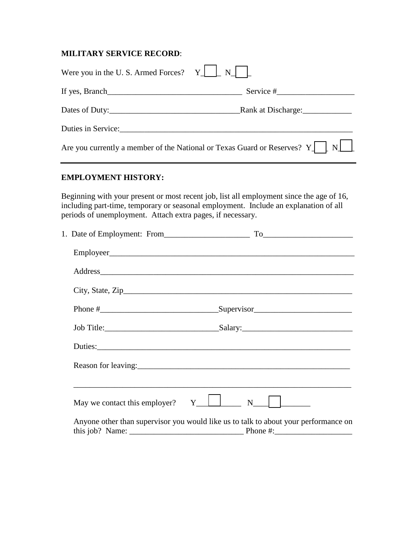#### **MILITARY SERVICE RECORD**:

| Were you in the U.S. Armed Forces? $Y \perp \perp$         | $\mathbf{N}$                                                                                                                                                                                                                   |
|------------------------------------------------------------|--------------------------------------------------------------------------------------------------------------------------------------------------------------------------------------------------------------------------------|
|                                                            |                                                                                                                                                                                                                                |
|                                                            |                                                                                                                                                                                                                                |
|                                                            |                                                                                                                                                                                                                                |
|                                                            | Are you currently a member of the National or Texas Guard or Reserves? $Y \parallel \quad$<br>N                                                                                                                                |
| <b>EMPLOYMENT HISTORY:</b>                                 |                                                                                                                                                                                                                                |
| periods of unemployment. Attach extra pages, if necessary. | Beginning with your present or most recent job, list all employment since the age of 16,<br>including part-time, temporary or seasonal employment. Include an explanation of all                                               |
|                                                            |                                                                                                                                                                                                                                |
|                                                            |                                                                                                                                                                                                                                |
|                                                            | Address and the contract of the contract of the contract of the contract of the contract of the contract of the contract of the contract of the contract of the contract of the contract of the contract of the contract of th |
|                                                            |                                                                                                                                                                                                                                |
|                                                            |                                                                                                                                                                                                                                |
|                                                            |                                                                                                                                                                                                                                |
|                                                            |                                                                                                                                                                                                                                |
| Reason for leaving:                                        |                                                                                                                                                                                                                                |
|                                                            |                                                                                                                                                                                                                                |
| May we contact this employer?                              | Y<br>$\mathbf N$                                                                                                                                                                                                               |
|                                                            | Anyone other than supervisor you would like us to talk to about your performance on<br>Phone #:                                                                                                                                |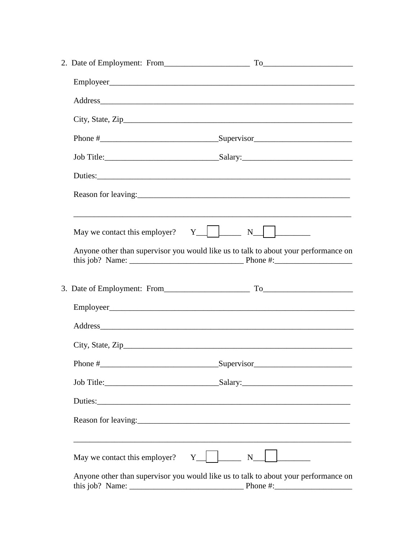|                                                 | City, State, $\text{Zip}\_\_\_\_\_\_\_\_\_\_\_\_\_\_\_\_\_\_\_\_\_\_\_\_\_\_\_\_\_\_\_\_\_\__$ |
|-------------------------------------------------|------------------------------------------------------------------------------------------------|
|                                                 |                                                                                                |
|                                                 |                                                                                                |
|                                                 |                                                                                                |
|                                                 |                                                                                                |
|                                                 | <u> 1989 - Johann Stoff, amerikansk politiker (d. 1989)</u>                                    |
|                                                 | Anyone other than supervisor you would like us to talk to about your performance on            |
|                                                 |                                                                                                |
|                                                 |                                                                                                |
|                                                 | Address                                                                                        |
|                                                 | City, State, $\rm{Zip}$                                                                        |
|                                                 |                                                                                                |
|                                                 |                                                                                                |
|                                                 |                                                                                                |
|                                                 |                                                                                                |
| May we contact this employer? $Y_1$ $Y_2$ $Y_3$ |                                                                                                |
|                                                 | Anyone other than supervisor you would like us to talk to about your performance on            |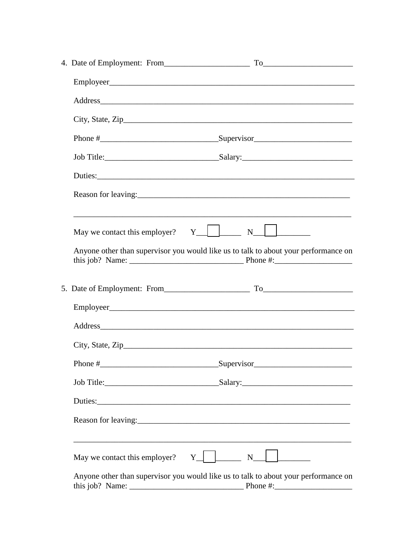|                               | Address and the contract of the contract of the contract of the contract of the contract of the contract of the contract of the contract of the contract of the contract of the contract of the contract of the contract of th |
|-------------------------------|--------------------------------------------------------------------------------------------------------------------------------------------------------------------------------------------------------------------------------|
|                               | City, State, $\mathsf{Zip}\_\_\_\_\_\_\_\_\_\_\_\_$                                                                                                                                                                            |
|                               |                                                                                                                                                                                                                                |
|                               |                                                                                                                                                                                                                                |
|                               |                                                                                                                                                                                                                                |
|                               |                                                                                                                                                                                                                                |
|                               | <u> 1989 - Johann Stoff, amerikansk politiker (d. 1989)</u><br>May we contact this employer? $Y$ $\Box$ N $\Box$                                                                                                               |
|                               | Anyone other than supervisor you would like us to talk to about your performance on                                                                                                                                            |
|                               |                                                                                                                                                                                                                                |
|                               |                                                                                                                                                                                                                                |
|                               | Address                                                                                                                                                                                                                        |
|                               | City, State, $\text{Zip}\_\_\_\_\_\_\_\_\_\_\_\_\_\_$                                                                                                                                                                          |
|                               |                                                                                                                                                                                                                                |
|                               |                                                                                                                                                                                                                                |
|                               |                                                                                                                                                                                                                                |
|                               |                                                                                                                                                                                                                                |
| May we contact this employer? | $Y \mid$<br>$N_{\perp}$ $N_{\perp}$                                                                                                                                                                                            |
|                               | Anyone other than supervisor you would like us to talk to about your performance on                                                                                                                                            |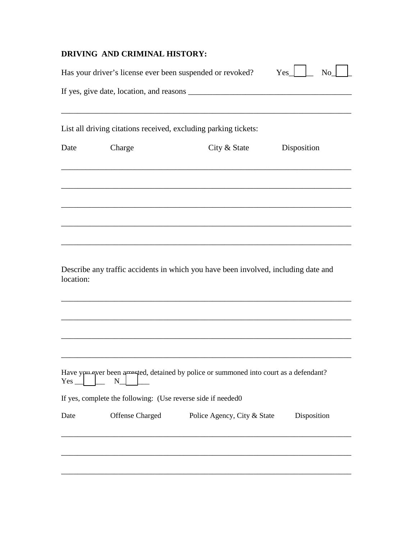#### **DRIVING AND CRIMINAL HISTORY:**

|            |                                                               | Has your driver's license ever been suspended or revoked?                              | Yes<br>N <sub>o</sub> |
|------------|---------------------------------------------------------------|----------------------------------------------------------------------------------------|-----------------------|
|            |                                                               |                                                                                        |                       |
|            |                                                               | List all driving citations received, excluding parking tickets:                        |                       |
| Date       | Charge                                                        | City & State                                                                           | Disposition           |
|            |                                                               |                                                                                        |                       |
|            |                                                               |                                                                                        |                       |
| location:  |                                                               | Describe any traffic accidents in which you have been involved, including date and     |                       |
| $Yes$ $\_$ | $\mathbf N$                                                   | Have you ever been arrested, detained by police or summoned into court as a defendant? |                       |
|            | If yes, complete the following: (Use reverse side if needed0) |                                                                                        |                       |
| Date       | Offense Charged                                               | Police Agency, City & State                                                            | Disposition           |
|            |                                                               |                                                                                        |                       |
|            |                                                               |                                                                                        |                       |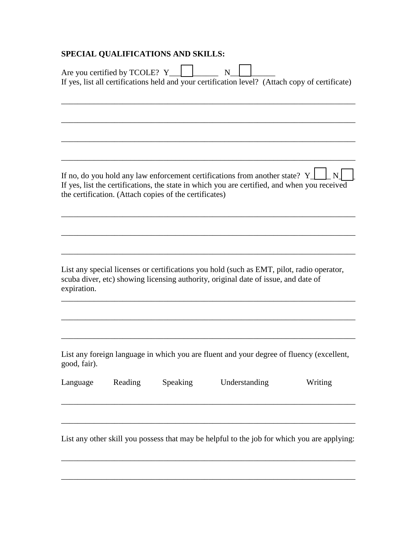# **SPECIAL QUALIFICATIONS AND SKILLS:**

|              | Are you certified by TCOLE? Y |                                                        | N<br>If yes, list all certifications held and your certification level? (Attach copy of certificate)                                                                            |         |
|--------------|-------------------------------|--------------------------------------------------------|---------------------------------------------------------------------------------------------------------------------------------------------------------------------------------|---------|
|              |                               |                                                        |                                                                                                                                                                                 |         |
|              |                               |                                                        |                                                                                                                                                                                 |         |
|              |                               | the certification. (Attach copies of the certificates) | If no, do you hold any law enforcement certifications from another state? Y_<br>If yes, list the certifications, the state in which you are certified, and when you received    | N       |
|              |                               |                                                        |                                                                                                                                                                                 |         |
| expiration.  |                               |                                                        | List any special licenses or certifications you hold (such as EMT, pilot, radio operator,<br>scuba diver, etc) showing licensing authority, original date of issue, and date of |         |
|              |                               |                                                        |                                                                                                                                                                                 |         |
| good, fair). |                               |                                                        | List any foreign language in which you are fluent and your degree of fluency (excellent,                                                                                        |         |
| Language     | Reading                       | Speaking                                               | Understanding                                                                                                                                                                   | Writing |
|              |                               |                                                        |                                                                                                                                                                                 |         |

List any other skill you possess that may be helpful to the job for which you are applying:

\_\_\_\_\_\_\_\_\_\_\_\_\_\_\_\_\_\_\_\_\_\_\_\_\_\_\_\_\_\_\_\_\_\_\_\_\_\_\_\_\_\_\_\_\_\_\_\_\_\_\_\_\_\_\_\_\_\_\_\_\_\_\_\_\_\_\_\_\_\_\_\_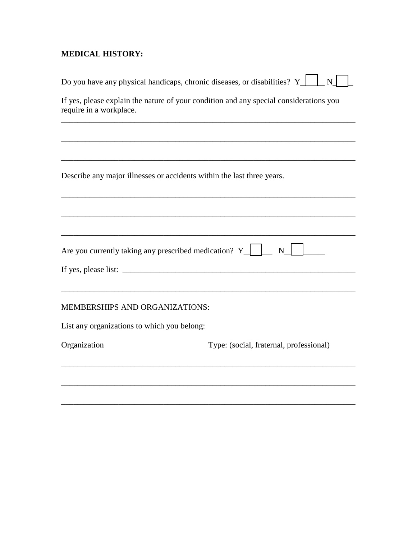## **MEDICAL HISTORY:**

| Do you have any physical handicaps, chronic diseases, or disabilities? Y_                                         | $\overline{\mathbf{N}}$                 |  |
|-------------------------------------------------------------------------------------------------------------------|-----------------------------------------|--|
| If yes, please explain the nature of your condition and any special considerations you<br>require in a workplace. |                                         |  |
|                                                                                                                   |                                         |  |
|                                                                                                                   |                                         |  |
| Describe any major illnesses or accidents within the last three years.                                            |                                         |  |
|                                                                                                                   |                                         |  |
| Are you currently taking any prescribed medication? $Y$                                                           | N                                       |  |
|                                                                                                                   |                                         |  |
| <b>MEMBERSHIPS AND ORGANIZATIONS:</b>                                                                             |                                         |  |
| List any organizations to which you belong:                                                                       |                                         |  |
| Organization                                                                                                      | Type: (social, fraternal, professional) |  |
|                                                                                                                   |                                         |  |
|                                                                                                                   |                                         |  |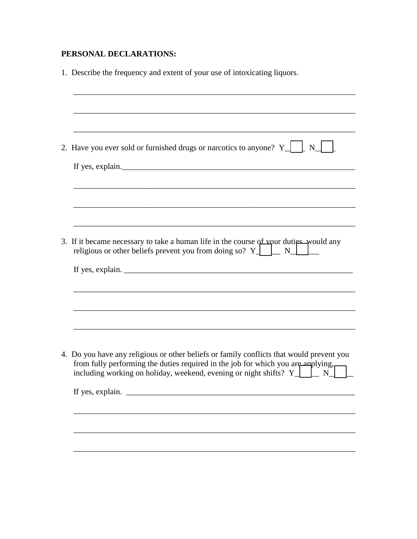## **PERSONAL DECLARATIONS:**

| 1. Describe the frequency and extent of your use of intoxicating liquors.                                                                                                                                                                                   |
|-------------------------------------------------------------------------------------------------------------------------------------------------------------------------------------------------------------------------------------------------------------|
|                                                                                                                                                                                                                                                             |
|                                                                                                                                                                                                                                                             |
| 2. Have you ever sold or furnished drugs or narcotics to anyone? $Y \parallel$<br>N                                                                                                                                                                         |
| If yes, explain.                                                                                                                                                                                                                                            |
|                                                                                                                                                                                                                                                             |
|                                                                                                                                                                                                                                                             |
| 3. If it became necessary to take a human life in the course of your duties would any<br>religious or other beliefs prevent you from doing so? $Y \perp \perp N \perp$                                                                                      |
|                                                                                                                                                                                                                                                             |
|                                                                                                                                                                                                                                                             |
|                                                                                                                                                                                                                                                             |
|                                                                                                                                                                                                                                                             |
| 4. Do you have any religious or other beliefs or family conflicts that would prevent you<br>from fully performing the duties required in the job for which you are applying,<br>including working on holiday, weekend, evening or night shifts? $Y \perp Y$ |
| If yes, explain.                                                                                                                                                                                                                                            |
|                                                                                                                                                                                                                                                             |
|                                                                                                                                                                                                                                                             |
|                                                                                                                                                                                                                                                             |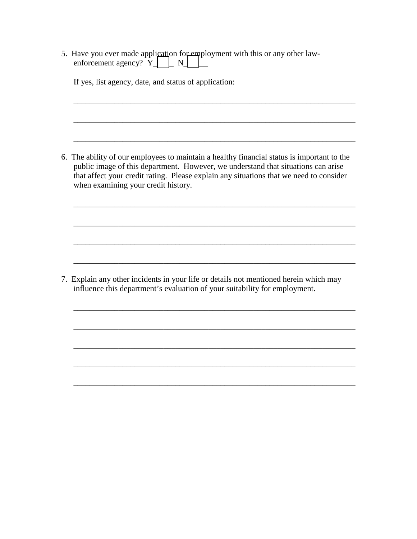5. Have you ever made application for employment with this or any other lawenforcement agency?  $\overline{Y}$   $\Box$  N $\Box$ 

If yes, list agency, date, and status of application:

6. The ability of our employees to maintain a healthy financial status is important to the public image of this department. However, we understand that situations can arise that affect your credit rating. Please explain any situations that we need to consider when examining your credit history.

\_\_\_\_\_\_\_\_\_\_\_\_\_\_\_\_\_\_\_\_\_\_\_\_\_\_\_\_\_\_\_\_\_\_\_\_\_\_\_\_\_\_\_\_\_\_\_\_\_\_\_\_\_\_\_\_\_\_\_\_\_\_\_\_\_\_\_\_\_

\_\_\_\_\_\_\_\_\_\_\_\_\_\_\_\_\_\_\_\_\_\_\_\_\_\_\_\_\_\_\_\_\_\_\_\_\_\_\_\_\_\_\_\_\_\_\_\_\_\_\_\_\_\_\_\_\_\_\_\_\_\_\_\_\_\_\_\_\_

\_\_\_\_\_\_\_\_\_\_\_\_\_\_\_\_\_\_\_\_\_\_\_\_\_\_\_\_\_\_\_\_\_\_\_\_\_\_\_\_\_\_\_\_\_\_\_\_\_\_\_\_\_\_\_\_\_\_\_\_\_\_\_\_\_\_\_\_\_

\_\_\_\_\_\_\_\_\_\_\_\_\_\_\_\_\_\_\_\_\_\_\_\_\_\_\_\_\_\_\_\_\_\_\_\_\_\_\_\_\_\_\_\_\_\_\_\_\_\_\_\_\_\_\_\_\_\_\_\_\_\_\_\_\_\_\_\_\_

\_\_\_\_\_\_\_\_\_\_\_\_\_\_\_\_\_\_\_\_\_\_\_\_\_\_\_\_\_\_\_\_\_\_\_\_\_\_\_\_\_\_\_\_\_\_\_\_\_\_\_\_\_\_\_\_\_\_\_\_\_\_\_\_\_\_\_\_\_

\_\_\_\_\_\_\_\_\_\_\_\_\_\_\_\_\_\_\_\_\_\_\_\_\_\_\_\_\_\_\_\_\_\_\_\_\_\_\_\_\_\_\_\_\_\_\_\_\_\_\_\_\_\_\_\_\_\_\_\_\_\_\_\_\_\_\_\_\_

\_\_\_\_\_\_\_\_\_\_\_\_\_\_\_\_\_\_\_\_\_\_\_\_\_\_\_\_\_\_\_\_\_\_\_\_\_\_\_\_\_\_\_\_\_\_\_\_\_\_\_\_\_\_\_\_\_\_\_\_\_\_\_\_\_\_\_\_\_

\_\_\_\_\_\_\_\_\_\_\_\_\_\_\_\_\_\_\_\_\_\_\_\_\_\_\_\_\_\_\_\_\_\_\_\_\_\_\_\_\_\_\_\_\_\_\_\_\_\_\_\_\_\_\_\_\_\_\_\_\_\_\_\_\_\_\_\_\_

\_\_\_\_\_\_\_\_\_\_\_\_\_\_\_\_\_\_\_\_\_\_\_\_\_\_\_\_\_\_\_\_\_\_\_\_\_\_\_\_\_\_\_\_\_\_\_\_\_\_\_\_\_\_\_\_\_\_\_\_\_\_\_\_\_\_\_\_\_

\_\_\_\_\_\_\_\_\_\_\_\_\_\_\_\_\_\_\_\_\_\_\_\_\_\_\_\_\_\_\_\_\_\_\_\_\_\_\_\_\_\_\_\_\_\_\_\_\_\_\_\_\_\_\_\_\_\_\_\_\_\_\_\_\_\_\_\_\_

\_\_\_\_\_\_\_\_\_\_\_\_\_\_\_\_\_\_\_\_\_\_\_\_\_\_\_\_\_\_\_\_\_\_\_\_\_\_\_\_\_\_\_\_\_\_\_\_\_\_\_\_\_\_\_\_\_\_\_\_\_\_\_\_\_\_\_\_\_

\_\_\_\_\_\_\_\_\_\_\_\_\_\_\_\_\_\_\_\_\_\_\_\_\_\_\_\_\_\_\_\_\_\_\_\_\_\_\_\_\_\_\_\_\_\_\_\_\_\_\_\_\_\_\_\_\_\_\_\_\_\_\_\_\_\_\_\_\_

7. Explain any other incidents in your life or details not mentioned herein which may influence this department's evaluation of your suitability for employment.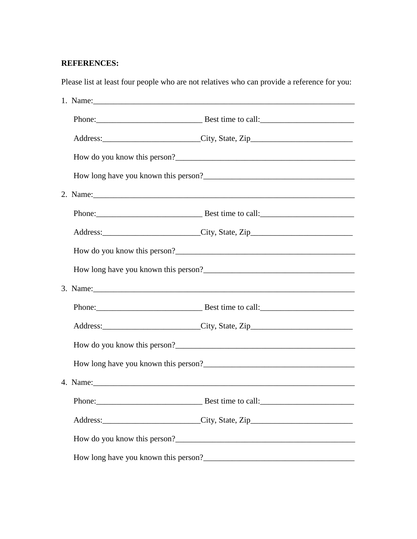#### **REFERENCES:**

Please list at least four people who are not relatives who can provide a reference for you:

|  |  | Address: __________________________City, State, Zip______________________________                             |
|--|--|---------------------------------------------------------------------------------------------------------------|
|  |  |                                                                                                               |
|  |  |                                                                                                               |
|  |  | 3. Name: 2008. 2008. 2010. 2010. 2010. 2010. 2010. 2010. 2010. 2010. 2010. 2010. 2010. 2010. 2010. 2010. 2010 |
|  |  |                                                                                                               |
|  |  | Address: City, State, Zip                                                                                     |
|  |  |                                                                                                               |
|  |  |                                                                                                               |
|  |  |                                                                                                               |
|  |  |                                                                                                               |
|  |  | Address: __________________________City, State, Zip______________________________                             |
|  |  |                                                                                                               |
|  |  |                                                                                                               |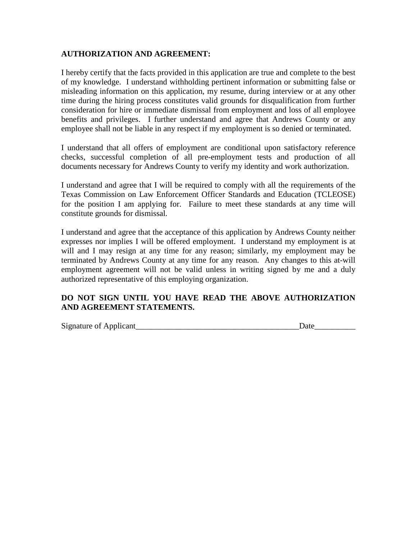#### **AUTHORIZATION AND AGREEMENT:**

I hereby certify that the facts provided in this application are true and complete to the best of my knowledge. I understand withholding pertinent information or submitting false or misleading information on this application, my resume, during interview or at any other time during the hiring process constitutes valid grounds for disqualification from further consideration for hire or immediate dismissal from employment and loss of all employee benefits and privileges. I further understand and agree that Andrews County or any employee shall not be liable in any respect if my employment is so denied or terminated.

I understand that all offers of employment are conditional upon satisfactory reference checks, successful completion of all pre-employment tests and production of all documents necessary for Andrews County to verify my identity and work authorization.

I understand and agree that I will be required to comply with all the requirements of the Texas Commission on Law Enforcement Officer Standards and Education (TCLEOSE) for the position I am applying for. Failure to meet these standards at any time will constitute grounds for dismissal.

I understand and agree that the acceptance of this application by Andrews County neither expresses nor implies I will be offered employment. I understand my employment is at will and I may resign at any time for any reason; similarly, my employment may be terminated by Andrews County at any time for any reason. Any changes to this at-will employment agreement will not be valid unless in writing signed by me and a duly authorized representative of this employing organization.

#### **DO NOT SIGN UNTIL YOU HAVE READ THE ABOVE AUTHORIZATION AND AGREEMENT STATEMENTS.**

Signature of Applicant